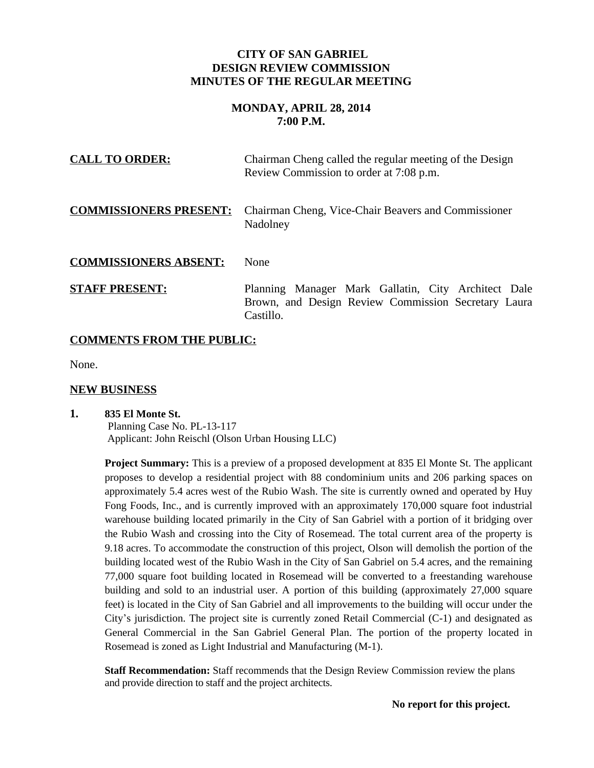# **CITY OF SAN GABRIEL DESIGN REVIEW COMMISSION MINUTES OF THE REGULAR MEETING**

# **MONDAY, APRIL 28, 2014 7:00 P.M.**

| <b>CALL TO ORDER:</b>         | Chairman Cheng called the regular meeting of the Design<br>Review Commission to order at 7:08 p.m.                      |
|-------------------------------|-------------------------------------------------------------------------------------------------------------------------|
| <b>COMMISSIONERS PRESENT:</b> | Chairman Cheng, Vice-Chair Beavers and Commissioner<br>Nadolney                                                         |
| <b>COMMISSIONERS ABSENT:</b>  | None                                                                                                                    |
| <b>STAFF PRESENT:</b>         | Planning Manager Mark Gallatin, City Architect Dale<br>Brown, and Design Review Commission Secretary Laura<br>Castillo. |

# **COMMENTS FROM THE PUBLIC:**

None.

## **NEW BUSINESS**

## **1. 835 El Monte St.** Planning Case No. PL-13-117 Applicant: John Reischl (Olson Urban Housing LLC)

**Project Summary:** This is a preview of a proposed development at 835 El Monte St. The applicant proposes to develop a residential project with 88 condominium units and 206 parking spaces on approximately 5.4 acres west of the Rubio Wash. The site is currently owned and operated by Huy Fong Foods, Inc., and is currently improved with an approximately 170,000 square foot industrial warehouse building located primarily in the City of San Gabriel with a portion of it bridging over the Rubio Wash and crossing into the City of Rosemead. The total current area of the property is 9.18 acres. To accommodate the construction of this project, Olson will demolish the portion of the building located west of the Rubio Wash in the City of San Gabriel on 5.4 acres, and the remaining 77,000 square foot building located in Rosemead will be converted to a freestanding warehouse building and sold to an industrial user. A portion of this building (approximately 27,000 square feet) is located in the City of San Gabriel and all improvements to the building will occur under the City's jurisdiction. The project site is currently zoned Retail Commercial (C-1) and designated as General Commercial in the San Gabriel General Plan. The portion of the property located in Rosemead is zoned as Light Industrial and Manufacturing (M-1).

**Staff Recommendation:** Staff recommends that the Design Review Commission review the plans and provide direction to staff and the project architects.

 **No report for this project.**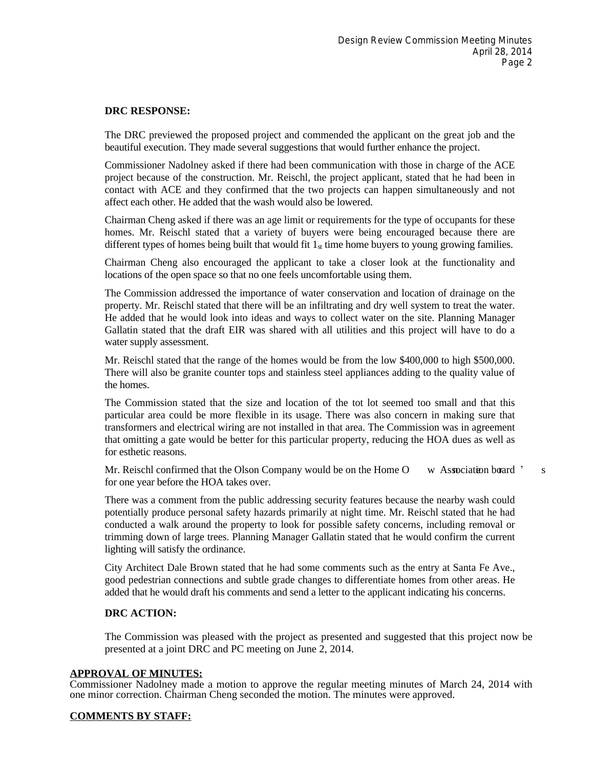### **DRC RESPONSE:**

The DRC previewed the proposed project and commended the applicant on the great job and the beautiful execution. They made several suggestions that would further enhance the project.

Commissioner Nadolney asked if there had been communication with those in charge of the ACE project because of the construction. Mr. Reischl, the project applicant, stated that he had been in contact with ACE and they confirmed that the two projects can happen simultaneously and not affect each other. He added that the wash would also be lowered.

Chairman Cheng asked if there was an age limit or requirements for the type of occupants for these homes. Mr. Reischl stated that a variety of buyers were being encouraged because there are different types of homes being built that would fit  $1_{st}$  time home buyers to young growing families.

Chairman Cheng also encouraged the applicant to take a closer look at the functionality and locations of the open space so that no one feels uncomfortable using them.

The Commission addressed the importance of water conservation and location of drainage on the property. Mr. Reischl stated that there will be an infiltrating and dry well system to treat the water. He added that he would look into ideas and ways to collect water on the site. Planning Manager Gallatin stated that the draft EIR was shared with all utilities and this project will have to do a water supply assessment.

Mr. Reischl stated that the range of the homes would be from the low \$400,000 to high \$500,000. There will also be granite counter tops and stainless steel appliances adding to the quality value of the homes.

The Commission stated that the size and location of the tot lot seemed too small and that this particular area could be more flexible in its usage. There was also concern in making sure that transformers and electrical wiring are not installed in that area. The Commission was in agreement that omitting a gate would be better for this particular property, reducing the HOA dues as well as for esthetic reasons.

Mr. Reischl confirmed that the Olson Company would be on the Home O w Association board  $\degree$  s for one year before the HOA takes over.

There was a comment from the public addressing security features because the nearby wash could potentially produce personal safety hazards primarily at night time. Mr. Reischl stated that he had conducted a walk around the property to look for possible safety concerns, including removal or trimming down of large trees. Planning Manager Gallatin stated that he would confirm the current lighting will satisfy the ordinance.

City Architect Dale Brown stated that he had some comments such as the entry at Santa Fe Ave., good pedestrian connections and subtle grade changes to differentiate homes from other areas. He added that he would draft his comments and send a letter to the applicant indicating his concerns.

#### **DRC ACTION:**

The Commission was pleased with the project as presented and suggested that this project now be presented at a joint DRC and PC meeting on June 2, 2014.

#### **APPROVAL OF MINUTES:**

Commissioner Nadolney made a motion to approve the regular meeting minutes of March 24, 2014 with one minor correction. Chairman Cheng seconded the motion. The minutes were approved.

#### **COMMENTS BY STAFF:**